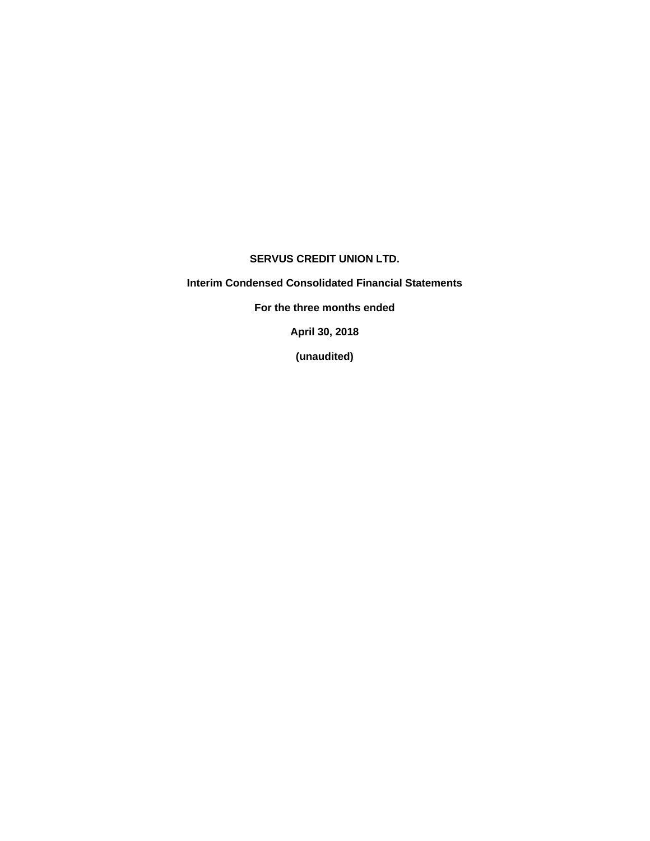# **SERVUS CREDIT UNION LTD.**

**Interim Condensed Consolidated Financial Statements** 

**For the three months ended** 

**April 30, 2018** 

**(unaudited)**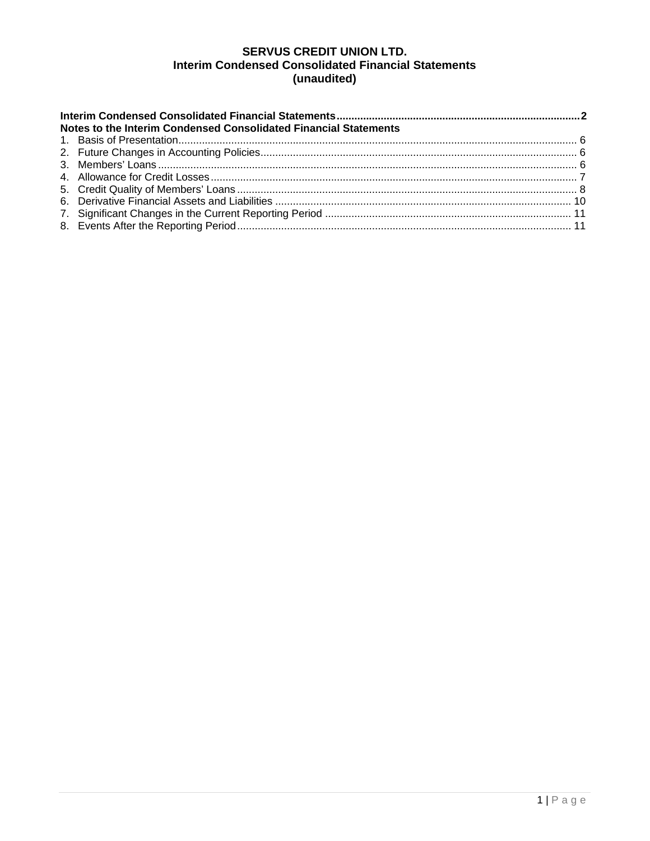# **SERVUS CREDIT UNION LTD. Interim Condensed Consolidated Financial Statements** (unaudited)

| Notes to the Interim Condensed Consolidated Financial Statements |  |  |  |  |  |  |  |  |  |  |
|------------------------------------------------------------------|--|--|--|--|--|--|--|--|--|--|
|                                                                  |  |  |  |  |  |  |  |  |  |  |
|                                                                  |  |  |  |  |  |  |  |  |  |  |
|                                                                  |  |  |  |  |  |  |  |  |  |  |
|                                                                  |  |  |  |  |  |  |  |  |  |  |
|                                                                  |  |  |  |  |  |  |  |  |  |  |
|                                                                  |  |  |  |  |  |  |  |  |  |  |
|                                                                  |  |  |  |  |  |  |  |  |  |  |
|                                                                  |  |  |  |  |  |  |  |  |  |  |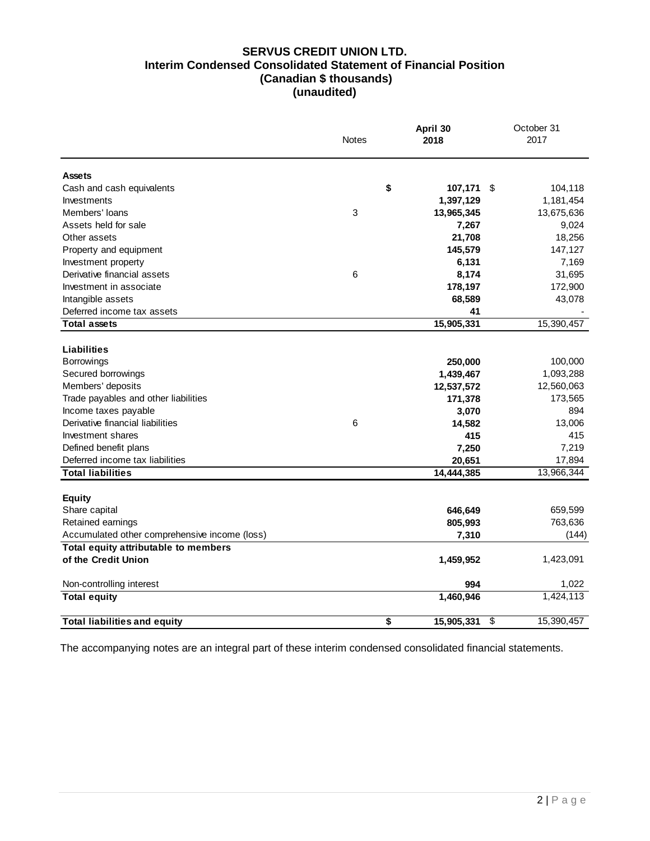# **SERVUS CREDIT UNION LTD. Interim Condensed Consolidated Statement of Financial Position (Canadian \$ thousands) (unaudited)**

|                                               | <b>Notes</b> | April 30<br>2018 | October 31<br>2017 |
|-----------------------------------------------|--------------|------------------|--------------------|
| <b>Assets</b>                                 |              |                  |                    |
| Cash and cash equivalents                     | \$           | 107,171          | \$<br>104,118      |
| Investments                                   |              | 1,397,129        | 1,181,454          |
| Members' loans                                | $\mathbf{3}$ | 13,965,345       | 13,675,636         |
| Assets held for sale                          |              | 7,267            | 9,024              |
| Other assets                                  |              | 21,708           | 18,256             |
| Property and equipment                        |              | 145,579          | 147,127            |
| Investment property                           |              | 6,131            | 7,169              |
| Derivative financial assets                   | 6            | 8,174            | 31,695             |
| Investment in associate                       |              | 178,197          | 172,900            |
| Intangible assets                             |              | 68,589           | 43,078             |
| Deferred income tax assets                    |              | 41               |                    |
| <b>Total assets</b>                           |              | 15,905,331       | 15,390,457         |
|                                               |              |                  |                    |
| Liabilities                                   |              |                  |                    |
| <b>Borrowings</b>                             |              | 250,000          | 100,000            |
| Secured borrowings                            |              | 1,439,467        | 1,093,288          |
| Members' deposits                             |              | 12,537,572       | 12,560,063         |
| Trade payables and other liabilities          |              | 171,378          | 173,565            |
| Income taxes payable                          |              | 3,070            | 894                |
| Derivative financial liabilities              | 6            | 14,582           | 13,006             |
| Investment shares                             |              | 415              | 415                |
| Defined benefit plans                         |              | 7,250            | 7,219              |
| Deferred income tax liabilities               |              | 20,651           | 17,894             |
| <b>Total liabilities</b>                      |              | 14,444,385       | 13,966,344         |
|                                               |              |                  |                    |
| <b>Equity</b><br>Share capital                |              | 646,649          | 659,599            |
| Retained earnings                             |              | 805,993          | 763,636            |
| Accumulated other comprehensive income (loss) |              | 7,310            | (144)              |
| Total equity attributable to members          |              |                  |                    |
| of the Credit Union                           |              | 1,459,952        | 1,423,091          |
|                                               |              |                  |                    |
| Non-controlling interest                      |              | 994              | 1,022              |
| <b>Total equity</b>                           |              | 1,460,946        | 1,424,113          |
| <b>Total liabilities and equity</b>           | \$           | 15,905,331       | \$<br>15,390,457   |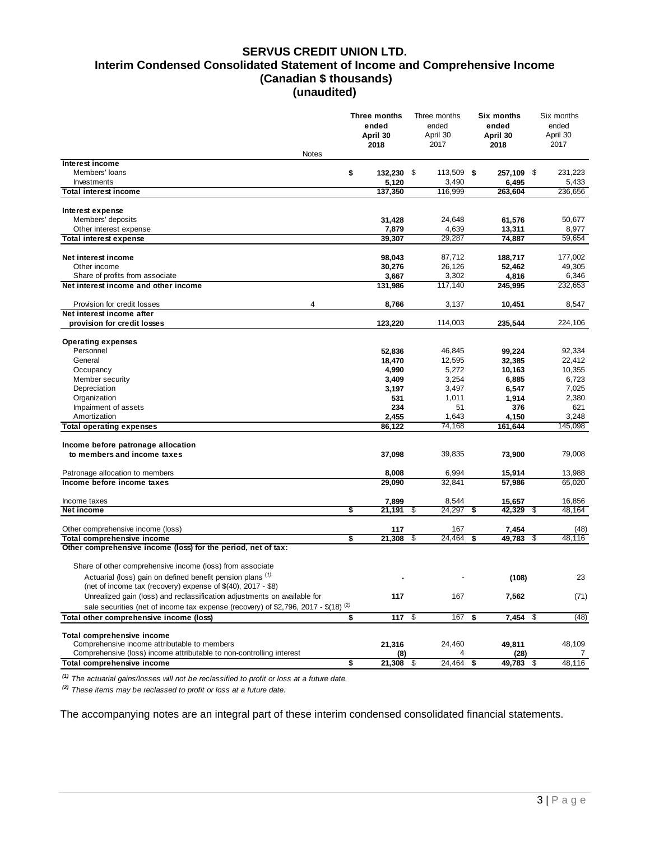### **SERVUS CREDIT UNION LTD. Interim Condensed Consolidated Statement of Income and Comprehensive Income (Canadian \$ thousands) (unaudited)**

|                                                                                                | Three months<br>ended<br>April 30 | Three months<br>ended<br>April 30<br>2017 | Six months<br>ended<br>April 30 | Six months<br>ended<br>April 30<br>2017 |
|------------------------------------------------------------------------------------------------|-----------------------------------|-------------------------------------------|---------------------------------|-----------------------------------------|
| <b>Notes</b>                                                                                   | 2018                              |                                           | 2018                            |                                         |
| Interest income                                                                                |                                   |                                           |                                 |                                         |
| Members' loans                                                                                 | \$<br>132,230 \$                  | 113,509 \$                                | 257,109 \$                      | 231,223                                 |
| Investments                                                                                    | 5,120                             | 3,490                                     | 6,495                           | 5,433                                   |
| <b>Total interest income</b>                                                                   | 137,350                           | 116,999                                   | 263,604                         | 236,656                                 |
| Interest expense                                                                               |                                   |                                           |                                 |                                         |
| Members' deposits                                                                              | 31,428                            | 24,648                                    | 61,576                          | 50,677                                  |
| Other interest expense                                                                         | 7,879                             | 4,639                                     | 13,311                          | 8,977                                   |
| <b>Total interest expense</b>                                                                  | 39,307                            | 29,287                                    | 74,887                          | 59,654                                  |
|                                                                                                |                                   |                                           |                                 |                                         |
| Net interest income                                                                            | 98,043                            | 87,712                                    | 188,717                         | 177,002                                 |
| Other income<br>Share of profits from associate                                                | 30,276<br>3,667                   | 26,126<br>3,302                           | 52,462<br>4,816                 | 49,305<br>6,346                         |
| Net interest income and other income                                                           | 131,986                           | 117,140                                   | 245,995                         | 232,653                                 |
|                                                                                                |                                   |                                           |                                 |                                         |
| 4<br>Provision for credit losses                                                               | 8,766                             | 3,137                                     | 10,451                          | 8,547                                   |
| Net interest income after                                                                      |                                   |                                           |                                 |                                         |
| provision for credit losses                                                                    | 123,220                           | 114,003                                   | 235,544                         | 224,106                                 |
| <b>Operating expenses</b>                                                                      |                                   |                                           |                                 |                                         |
| Personnel                                                                                      | 52,836                            | 46,845                                    | 99,224                          | 92,334                                  |
| General                                                                                        | 18,470                            | 12,595                                    | 32,385                          | 22,412                                  |
| Occupancy                                                                                      | 4,990                             | 5,272                                     | 10,163                          | 10,355                                  |
| Member security                                                                                | 3,409                             | 3,254                                     | 6,885                           | 6,723                                   |
| Depreciation                                                                                   | 3,197                             | 3,497                                     | 6,547                           | 7,025                                   |
| Organization                                                                                   | 531                               | 1,011                                     | 1,914                           | 2,380                                   |
| Impairment of assets                                                                           | 234                               | 51                                        | 376                             | 621                                     |
| Amortization                                                                                   | 2,455                             | 1,643                                     | 4,150                           | 3,248                                   |
| <b>Total operating expenses</b>                                                                | 86,122                            | 74,168                                    | 161,644                         | 145,098                                 |
| Income before patronage allocation                                                             |                                   |                                           |                                 |                                         |
| to members and income taxes                                                                    | 37,098                            | 39,835                                    | 73,900                          | 79,008                                  |
|                                                                                                |                                   |                                           |                                 |                                         |
| Patronage allocation to members                                                                | 8,008                             | 6,994                                     | 15,914                          | 13,988                                  |
| Income before income taxes                                                                     | 29,090                            | 32,841                                    | 57,986                          | 65,020                                  |
|                                                                                                |                                   |                                           |                                 |                                         |
| Income taxes                                                                                   | 7,899                             | 8,544                                     | 15,657                          | 16,856                                  |
| Net income                                                                                     | \$<br>21,191                      | 24,297<br>\$                              | 42,329<br>\$                    | \$<br>48,164                            |
| Other comprehensive income (loss)                                                              | 117                               | 167                                       | 7,454                           | (48)                                    |
| Total comprehensive income                                                                     | \$<br>21,308                      | 24,464<br>\$                              | 49,783<br>\$                    | \$<br>48,116                            |
| Other comprehensive income (loss) for the period, net of tax:                                  |                                   |                                           |                                 |                                         |
|                                                                                                |                                   |                                           |                                 |                                         |
| Share of other comprehensive income (loss) from associate                                      |                                   |                                           |                                 |                                         |
| Actuarial (loss) gain on defined benefit pension plans (1)                                     |                                   |                                           | (108)                           | 23                                      |
| (net of income tax (recovery) expense of \$(40), 2017 - \$8)                                   |                                   |                                           |                                 |                                         |
| Unrealized gain (loss) and reclassification adjustments on available for                       | 117                               | 167                                       | 7,562                           | (71)                                    |
| sale securities (net of income tax expense (recovery) of \$2,796, 2017 - \$(18) <sup>(2)</sup> |                                   |                                           |                                 |                                         |
| Total other comprehensive income (loss)                                                        | \$<br>117                         | \$<br>167                                 | 7,454 \$<br>\$                  | (48)                                    |
| Total comprehensive income                                                                     |                                   |                                           |                                 |                                         |
| Comprehensive income attributable to members                                                   | 21,316                            | 24,460                                    | 49,811                          | 48,109                                  |
| Comprehensive (loss) income attributable to non-controlling interest                           | (8)                               | 4                                         | (28)                            | $\prime$                                |
| Total comprehensive income                                                                     | \$<br>$21,308$ \$                 | $24,464$ \$                               | 49,783 \$                       | 48,116                                  |

*(1) The actuarial gains/losses will not be reclassified to profit or loss at a future date.*

*(2) These items may be reclassed to profit or loss at a future date.*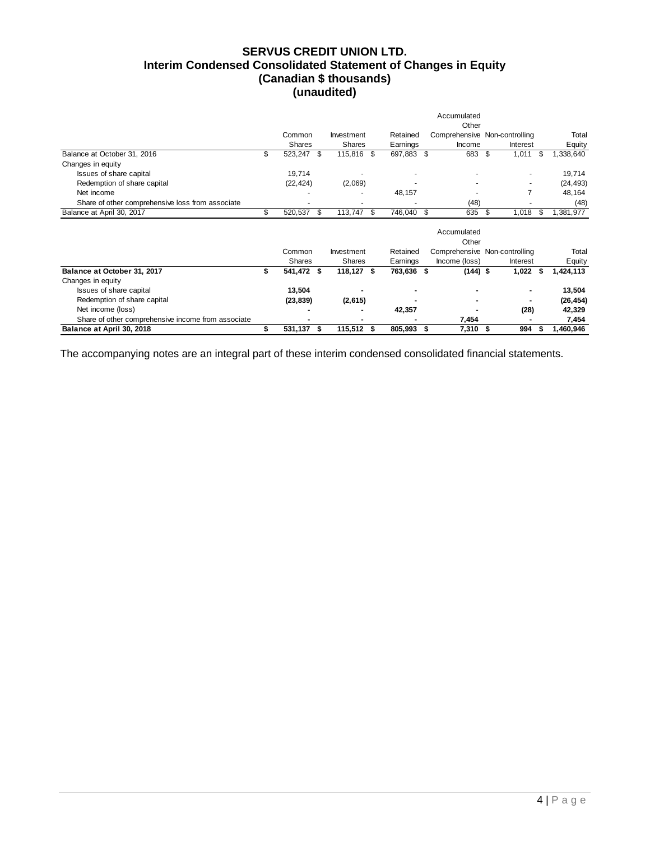# **SERVUS CREDIT UNION LTD. Interim Condensed Consolidated Statement of Changes in Equity (Canadian \$ thousands) (unaudited)**

|                                                    |                  |    |               |      |            | Accumulated          |                               |      |           |
|----------------------------------------------------|------------------|----|---------------|------|------------|----------------------|-------------------------------|------|-----------|
|                                                    |                  |    |               |      |            | Other                |                               |      |           |
|                                                    | Common           |    | Investment    |      | Retained   |                      | Comprehensive Non-controlling |      | Total     |
|                                                    | <b>Shares</b>    |    | <b>Shares</b> |      | Earnings   | Income               | Interest                      |      | Equity    |
| Balance at October 31, 2016                        | \$<br>523,247 \$ |    | 115,816 \$    |      | 697,883 \$ | 683                  | \$<br>1,011                   | - \$ | 1,338,640 |
| Changes in equity                                  |                  |    |               |      |            |                      |                               |      |           |
| Issues of share capital                            | 19,714           |    |               |      |            |                      |                               |      | 19,714    |
| Redemption of share capital                        | (22, 424)        |    | (2,069)       |      |            |                      |                               |      | (24, 493) |
| Net income                                         |                  |    |               |      | 48,157     |                      | $\overline{7}$                |      | 48,164    |
| Share of other comprehensive loss from associate   |                  |    |               |      |            | (48)                 |                               |      | (48)      |
| Balance at April 30, 2017                          | \$<br>520,537    | \$ | 113,747       | - \$ | 746,040 \$ | 635                  | \$<br>1,018                   | \$   | 1,381,977 |
|                                                    |                  |    |               |      |            | Accumulated<br>Other |                               |      |           |
|                                                    | Common           |    | Investment    |      | Retained   |                      | Comprehensive Non-controlling |      | Total     |
|                                                    | <b>Shares</b>    |    | <b>Shares</b> |      | Earnings   | Income (loss)        | Interest                      |      | Equity    |
| Balance at October 31, 2017                        | 541,472 \$       |    | 118,127 \$    |      | 763,636 \$ | $(144)$ \$           | $1,022$ \$                    |      | 1,424,113 |
| Changes in equity                                  |                  |    |               |      |            |                      |                               |      |           |
| Issues of share capital                            | 13,504           |    |               |      |            |                      | ٠                             |      | 13,504    |
| Redemption of share capital                        | (23, 839)        |    | (2,615)       |      |            |                      |                               |      | (26, 454) |
| Net income (loss)                                  |                  |    |               |      | 42,357     |                      | (28)                          |      | 42,329    |
| Share of other comprehensive income from associate |                  |    |               |      |            | 7,454                |                               |      | 7,454     |
| Balance at April 30, 2018                          | 531,137          | -S | 115,512       | S    | 805,993 \$ | 7,310                | 994<br>S                      |      | 1,460,946 |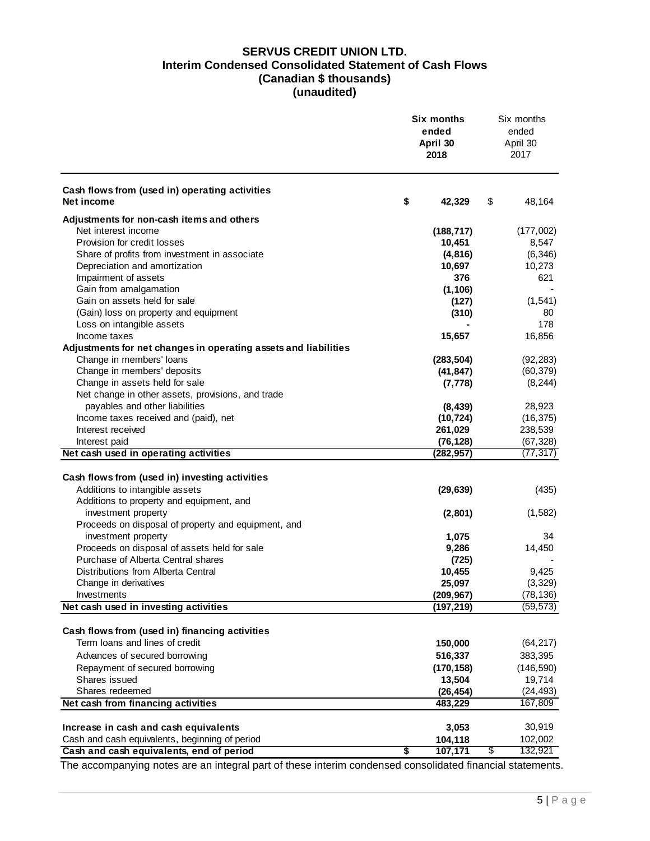# **SERVUS CREDIT UNION LTD. Interim Condensed Consolidated Statement of Cash Flows (Canadian \$ thousands) (unaudited)**

|                                                                 | Six months<br>ended<br>April 30<br>2018 | Six months<br>ended<br>April 30<br>2017 |
|-----------------------------------------------------------------|-----------------------------------------|-----------------------------------------|
| Cash flows from (used in) operating activities<br>Net income    | \$<br>42,329                            | \$<br>48,164                            |
| Adjustments for non-cash items and others                       |                                         |                                         |
| Net interest income                                             | (188, 717)                              | (177,002)                               |
| Provision for credit losses                                     | 10,451                                  | 8,547                                   |
| Share of profits from investment in associate                   | (4, 816)                                | (6, 346)                                |
| Depreciation and amortization                                   | 10,697                                  | 10,273                                  |
| Impairment of assets                                            | 376                                     | 621                                     |
| Gain from amalgamation                                          | (1, 106)                                |                                         |
| Gain on assets held for sale                                    | (127)                                   | (1, 541)                                |
| (Gain) loss on property and equipment                           | (310)                                   | 80                                      |
| Loss on intangible assets                                       |                                         | 178                                     |
| Income taxes                                                    | 15,657                                  | 16,856                                  |
| Adjustments for net changes in operating assets and liabilities |                                         |                                         |
| Change in members' loans                                        | (283, 504)                              | (92, 283)                               |
| Change in members' deposits                                     | (41, 847)                               | (60, 379)                               |
| Change in assets held for sale                                  | (7, 778)                                | (8, 244)                                |
| Net change in other assets, provisions, and trade               |                                         |                                         |
| payables and other liabilities                                  | (8, 439)                                | 28,923                                  |
| Income taxes received and (paid), net                           | (10, 724)                               | (16, 375)                               |
| Interest received                                               | 261,029                                 | 238,539                                 |
| Interest paid<br>Net cash used in operating activities          | (76, 128)<br>(282, 957)                 | (67, 328)<br>(77, 317)                  |
|                                                                 |                                         |                                         |
| Cash flows from (used in) investing activities                  |                                         |                                         |
| Additions to intangible assets                                  | (29, 639)                               | (435)                                   |
| Additions to property and equipment, and                        |                                         |                                         |
| investment property                                             | (2,801)                                 | (1,582)                                 |
| Proceeds on disposal of property and equipment, and             |                                         |                                         |
| investment property                                             | 1,075                                   | 34                                      |
| Proceeds on disposal of assets held for sale                    | 9,286                                   | 14,450                                  |
| Purchase of Alberta Central shares                              | (725)                                   |                                         |
| Distributions from Alberta Central                              | 10,455                                  | 9,425                                   |
| Change in derivatives                                           | 25,097                                  | (3, 329)                                |
| Investments                                                     | (209, 967)                              | (78, 136)                               |
| Net cash used in investing activities                           | (197, 219)                              | (59, 573)                               |
|                                                                 |                                         |                                         |
| Cash flows from (used in) financing activities                  |                                         |                                         |
| Term loans and lines of credit                                  | 150,000                                 | (64, 217)                               |
| Advances of secured borrowing                                   | 516,337                                 | 383,395                                 |
| Repayment of secured borrowing                                  | (170, 158)                              | (146, 590)                              |
| Shares issued                                                   | 13,504                                  | 19,714                                  |
| Shares redeemed                                                 | (26, 454)                               | (24, 493)                               |
| Net cash from financing activities                              | 483,229                                 | 167,809                                 |
|                                                                 |                                         |                                         |
| Increase in cash and cash equivalents                           | 3,053                                   | 30,919                                  |
| Cash and cash equivalents, beginning of period                  | 104,118                                 | 102,002                                 |
| Cash and cash equivalents, end of period                        | \$<br>107,171                           | \$<br>132,921                           |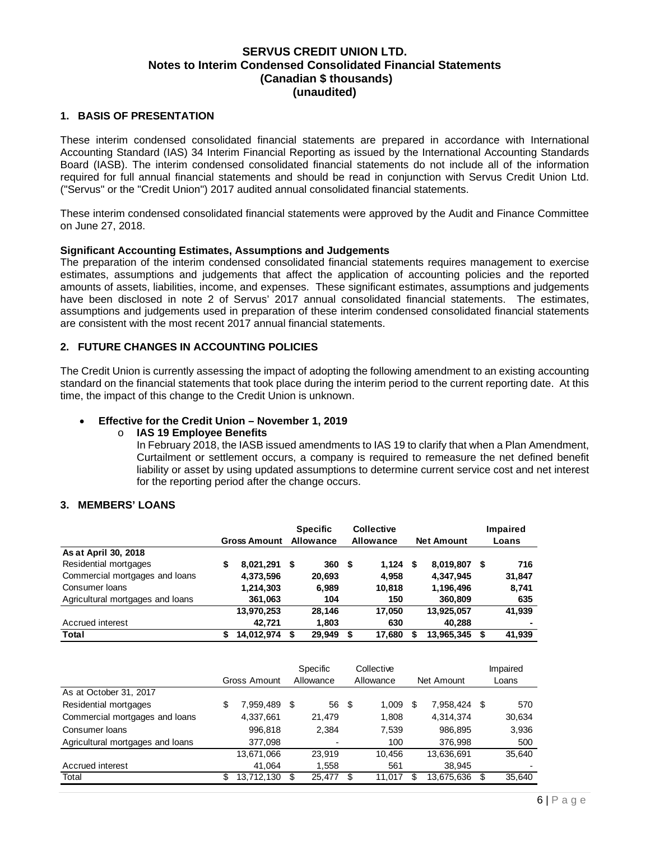### **1. BASIS OF PRESENTATION**

These interim condensed consolidated financial statements are prepared in accordance with International Accounting Standard (IAS) 34 Interim Financial Reporting as issued by the International Accounting Standards Board (IASB). The interim condensed consolidated financial statements do not include all of the information required for full annual financial statements and should be read in conjunction with Servus Credit Union Ltd. ("Servus" or the "Credit Union") 2017 audited annual consolidated financial statements.

These interim condensed consolidated financial statements were approved by the Audit and Finance Committee on June 27, 2018.

#### **Significant Accounting Estimates, Assumptions and Judgements**

The preparation of the interim condensed consolidated financial statements requires management to exercise estimates, assumptions and judgements that affect the application of accounting policies and the reported amounts of assets, liabilities, income, and expenses. These significant estimates, assumptions and judgements have been disclosed in note 2 of Servus' 2017 annual consolidated financial statements. The estimates, assumptions and judgements used in preparation of these interim condensed consolidated financial statements are consistent with the most recent 2017 annual financial statements.

### **2. FUTURE CHANGES IN ACCOUNTING POLICIES**

The Credit Union is currently assessing the impact of adopting the following amendment to an existing accounting standard on the financial statements that took place during the interim period to the current reporting date. At this time, the impact of this change to the Credit Union is unknown.

### **Effective for the Credit Union – November 1, 2019**

### o **IAS 19 Employee Benefits**

In February 2018, the IASB issued amendments to IAS 19 to clarify that when a Plan Amendment, Curtailment or settlement occurs, a company is required to remeasure the net defined benefit liability or asset by using updated assumptions to determine current service cost and net interest for the reporting period after the change occurs.

#### **3. MEMBERS' LOANS**

|                                  |   |                     |    | <b>Specific</b> |   | <b>Collective</b> |   |                   |    | Impaired |
|----------------------------------|---|---------------------|----|-----------------|---|-------------------|---|-------------------|----|----------|
|                                  |   | <b>Gross Amount</b> |    | Allowance       |   | Allowance         |   | <b>Net Amount</b> |    | Loans    |
| As at April 30, 2018             |   |                     |    |                 |   |                   |   |                   |    |          |
| Residential mortgages            | S | 8,021,291           | \$ | 360             | S | 1,124             | S | 8.019.807         | S  | 716      |
| Commercial mortgages and loans   |   | 4,373,596           |    | 20,693          |   | 4,958             |   | 4,347,945         |    | 31,847   |
| Consumer Ioans                   |   | 1,214,303           |    | 6,989           |   | 10,818            |   | 1,196,496         |    | 8,741    |
| Agricultural mortgages and loans |   | 361,063             |    | 104             |   | 150               |   | 360,809           |    | 635      |
|                                  |   | 13,970,253          |    | 28.146          |   | 17.050            |   | 13,925,057        |    | 41,939   |
| Accrued interest                 |   | 42.721              |    | 1,803           |   | 630               |   | 40.288            |    | ۰        |
| Total                            |   | 14.012.974          | S  | 29.949          |   | 17.680            |   | 13.965.345        | \$ | 41.939   |

|                                  |     |              |   | <b>Specific</b> |      | Collective |    |            |    | Impaired |
|----------------------------------|-----|--------------|---|-----------------|------|------------|----|------------|----|----------|
|                                  |     | Gross Amount |   | Allowance       |      | Allowance  |    | Net Amount |    | Loans    |
| As at October 31, 2017           |     |              |   |                 |      |            |    |            |    |          |
| Residential mortgages            | S   | 7.959.489    | S | 56              | - \$ | 1,009      | S  | 7.958.424  | S  | 570      |
| Commercial mortgages and loans   |     | 4,337,661    |   | 21.479          |      | 1,808      |    | 4,314,374  |    | 30,634   |
| Consumer Ioans                   |     | 996,818      |   | 2.384           |      | 7,539      |    | 986,895    |    | 3,936    |
| Agricultural mortgages and loans |     | 377,098      |   |                 |      | 100        |    | 376,998    |    | 500      |
|                                  |     | 13,671,066   |   | 23.919          |      | 10.456     |    | 13,636,691 |    | 35.640   |
| Accrued interest                 |     | 41.064       |   | 1,558           |      | 561        |    | 38.945     |    |          |
| Total                            | \$. | 13.712.130   | S | 25,477          |      | 11.017     | S. | 13,675,636 | \$ | 35,640   |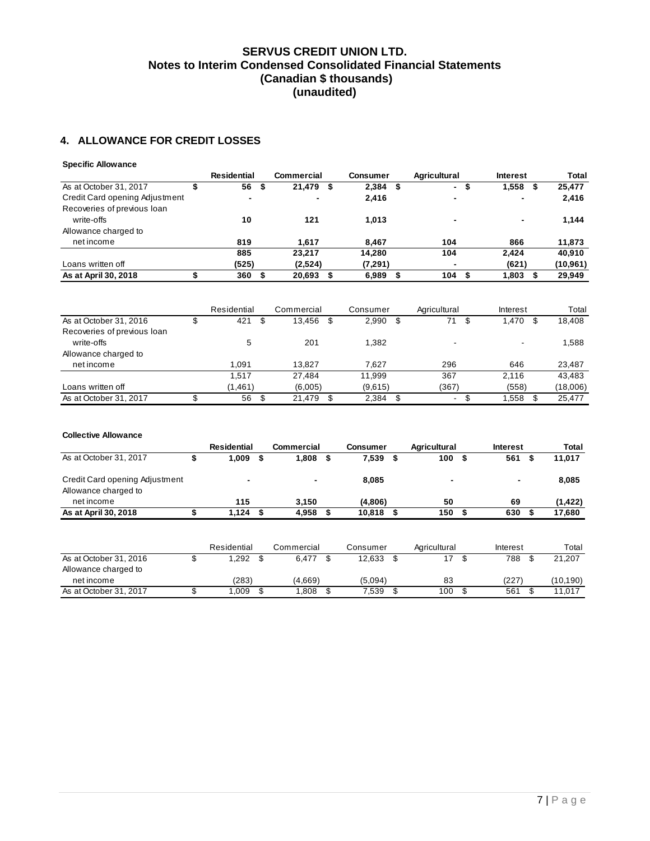# **4. ALLOWANCE FOR CREDIT LOSSES**

#### **Specific Allowance**

|                                | <b>Residential</b> | Commercial |    | <b>Consumer</b> | <b>Agricultural</b>      |      | <b>Interest</b> | <b>Total</b> |
|--------------------------------|--------------------|------------|----|-----------------|--------------------------|------|-----------------|--------------|
| As at October 31, 2017         | 56<br>- \$         | 21,479     | \$ | 2,384<br>- \$   | $\sim$                   | - 56 | 1,558<br>Ð      | 25,477       |
| Credit Card opening Adjustment | ٠                  | ٠          |    | 2,416           | $\overline{\phantom{a}}$ |      |                 | 2,416        |
| Recoveries of previous loan    |                    |            |    |                 |                          |      |                 |              |
| write-offs                     | 10                 | 121        |    | 1.013           | $\overline{\phantom{a}}$ |      | $\blacksquare$  | 1,144        |
| Allowance charged to           |                    |            |    |                 |                          |      |                 |              |
| net income                     | 819                | 1.617      |    | 8.467           | 104                      |      | 866             | 11,873       |
|                                | 885                | 23.217     |    | 14.280          | 104                      |      | 2.424           | 40.910       |
| Loans written off              | (525)              | (2,524)    |    | (7, 291)        | $\blacksquare$           |      | (621)           | (10, 961)    |
| As at April 30, 2018           | 360                | 20,693     | S  | 6,989           | 104<br>- 56              | S    | 1,803           | 29,949       |
|                                |                    |            |    |                 |                          |      |                 |              |

|                             | Residential | Commercial | Consumer    |      | Agricultural | Interest                 | Total    |
|-----------------------------|-------------|------------|-------------|------|--------------|--------------------------|----------|
| As at October 31, 2016      | 421         | 13,456     | \$<br>2,990 | - \$ | 71           | 1,470                    | 18.408   |
| Recoveries of previous loan |             |            |             |      |              |                          |          |
| write-offs                  | 5           | 201        | 1.382       |      |              | $\overline{\phantom{0}}$ | 1,588    |
| Allowance charged to        |             |            |             |      |              |                          |          |
| net income                  | 1.091       | 13.827     | 7.627       |      | 296          | 646                      | 23,487   |
|                             | 1.517       | 27.484     | 11.999      |      | 367          | 2.116                    | 43.483   |
| Loans written off           | (1,461)     | (6,005)    | (9,615)     |      | (367)        | (558)                    | (18,006) |
| As at October 31, 2017      | 56          | 21.479     | 2.384       |      | ۰.           | 1.558                    | 25.477   |

#### **Collective Allowance**

|                                                        | <b>Residential</b>       |    | <b>Commercial</b> | <b>Consumer</b> |      | Agricultural |    | <b>Interest</b> |    | Total     |
|--------------------------------------------------------|--------------------------|----|-------------------|-----------------|------|--------------|----|-----------------|----|-----------|
| As at October 31, 2017                                 | 1,009                    | S  | 1,808             | \$<br>7,539     | - \$ | 100          | S  | 561             | S  | 11,017    |
| Credit Card opening Adjustment<br>Allowance charged to | $\overline{\phantom{0}}$ |    |                   | 8,085           |      |              |    | $\blacksquare$  |    | 8,085     |
| net income                                             | 115                      |    | 3,150             | (4,806)         |      | 50           |    | 69              |    | (1, 422)  |
| As at April 30, 2018                                   | 1.124                    | -S | 4,958             | 10,818          | - \$ | 150          | \$ | 630             |    | 17,680    |
|                                                        | Residential              |    | Commercial        | Consumer        |      | Agricultural |    | Interest        |    | Total     |
| As at October 31, 2016                                 | \$<br>1,292              | \$ | 6,477             | \$<br>12,633    | - \$ | 17           | \$ | 788             | \$ | 21.207    |
| Allowance charged to                                   |                          |    |                   |                 |      |              |    |                 |    |           |
| net income                                             | (283)                    |    | (4,669)           | (5,094)         |      | 83           |    | (227)           |    | (10, 190) |
| As at October 31, 2017                                 | 009. ا                   | \$ | 1,808             | 7,539           | \$   | 100          | \$ | 561             |    | 11,017    |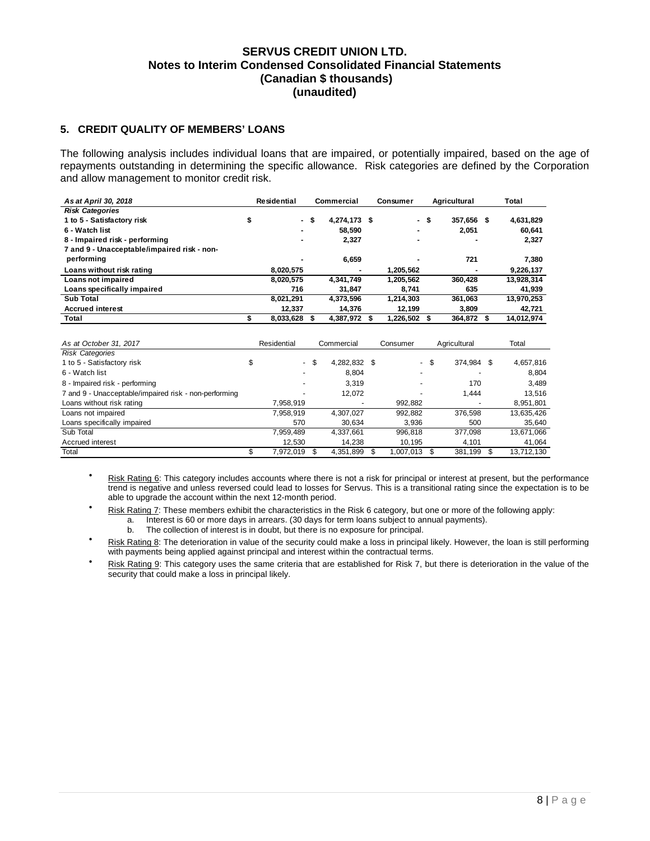### **5. CREDIT QUALITY OF MEMBERS' LOANS**

The following analysis includes individual loans that are impaired, or potentially impaired, based on the age of repayments outstanding in determining the specific allowance. Risk categories are defined by the Corporation and allow management to monitor credit risk.

| As at April 30, 2018                        | Residential  |      | Commercial   | <b>Consumer</b> | Agricultural |    | Total      |
|---------------------------------------------|--------------|------|--------------|-----------------|--------------|----|------------|
| <b>Risk Categories</b>                      |              |      |              |                 |              |    |            |
| 1 to 5 - Satisfactory risk                  | \$           | - \$ | 4,274,173 \$ | - \$            | 357.656 \$   |    | 4,631,829  |
| 6 - Watch list                              |              |      | 58.590       | -               | 2,051        |    | 60.641     |
| 8 - Impaired risk - performing              |              |      | 2,327        | -               |              |    | 2,327      |
| 7 and 9 - Unacceptable/impaired risk - non- |              |      |              |                 |              |    |            |
| performing                                  |              |      | 6.659        |                 | 721          |    | 7,380      |
| Loans without risk rating                   | 8.020.575    |      | -            | 1.205.562       |              |    | 9,226,137  |
| Loans not impaired                          | 8.020.575    |      | 4.341.749    | 1.205.562       | 360.428      |    | 13,928,314 |
| Loans specifically impaired                 | 716          |      | 31.847       | 8.741           | 635          |    | 41,939     |
| Sub Total                                   | 8,021,291    |      | 4.373.596    | 1.214.303       | 361.063      |    | 13,970,253 |
| <b>Accrued interest</b>                     | 12.337       |      | 14.376       | 12.199          | 3.809        |    | 42,721     |
| Total                                       | 8,033,628 \$ |      | 4,387,972 \$ | 1.226.502 \$    | 364.872      | £. | 14.012.974 |

| As at October 31, 2017                                | Residential |      | Commercial   | Consumer  |      | Agricultural |   | Total      |
|-------------------------------------------------------|-------------|------|--------------|-----------|------|--------------|---|------------|
| <b>Risk Categories</b>                                |             |      |              |           |      |              |   |            |
| 1 to 5 - Satisfactory risk                            | \$          | - \$ | 4,282,832 \$ |           | - \$ | 374,984      | S | 4,657,816  |
| 6 - Watch list                                        |             |      | 8.804        |           |      |              |   | 8.804      |
| 8 - Impaired risk - performing                        |             |      | 3.319        |           |      | 170          |   | 3,489      |
| 7 and 9 - Unacceptable/impaired risk - non-performing |             |      | 12,072       |           |      | 1.444        |   | 13.516     |
| Loans without risk rating                             | 7,958,919   |      |              | 992,882   |      |              |   | 8,951,801  |
| Loans not impaired                                    | 7,958,919   |      | 4.307.027    | 992.882   |      | 376,598      |   | 13,635,426 |
| Loans specifically impaired                           | 570         |      | 30.634       | 3.936     |      | 500          |   | 35,640     |
| Sub Total                                             | 7,959,489   |      | 4,337,661    | 996,818   |      | 377,098      |   | 13,671,066 |
| Accrued interest                                      | 12,530      |      | 14.238       | 10,195    |      | 4.101        |   | 41,064     |
| Total                                                 | 7,972,019   |      | 4,351,899    | 1,007,013 |      | 381,199      |   | 13,712,130 |

- Risk Rating 6: This category includes accounts where there is not a risk for principal or interest at present, but the performance trend is negative and unless reversed could lead to losses for Servus. This is a transitional rating since the expectation is to be able to upgrade the account within the next 12-month period.
- Risk Rating 7: These members exhibit the characteristics in the Risk 6 category, but one or more of the following apply:
	- a. Interest is 60 or more days in arrears. (30 days for term loans subject to annual payments).
		- b. The collection of interest is in doubt, but there is no exposure for principal.
- Risk Rating 8: The deterioration in value of the security could make a loss in principal likely. However, the loan is still performing with payments being applied against principal and interest within the contractual terms.
- Risk Rating 9: This category uses the same criteria that are established for Risk 7, but there is deterioration in the value of the security that could make a loss in principal likely.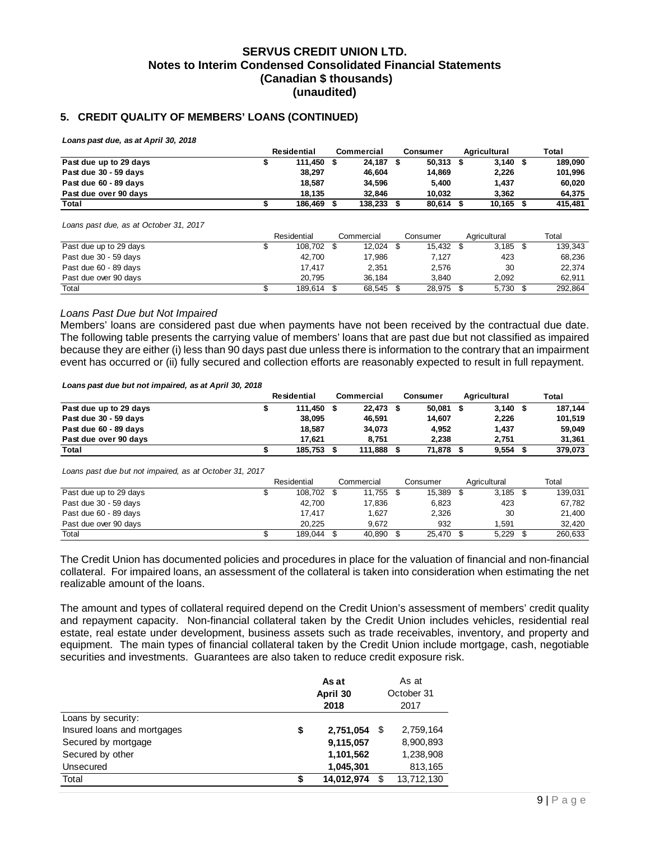### **5. CREDIT QUALITY OF MEMBERS' LOANS (CONTINUED)**

*Loans past due, as at April 30, 2018*

|                        | <b>Residential</b> |  | Commercial | Consumer    | Agricultural | Total   |  |
|------------------------|--------------------|--|------------|-------------|--------------|---------|--|
| Past due up to 29 days | 111.450            |  | 24.187 \$  | $50.313$ \$ | $3,140$ \$   | 189.090 |  |
| Past due 30 - 59 days  | 38.297             |  | 46.604     | 14.869      | 2,226        | 101.996 |  |
| Past due 60 - 89 days  | 18.587             |  | 34.596     | 5.400       | 1.437        | 60.020  |  |
| Past due over 90 days  | 18.135             |  | 32.846     | 10.032      | 3.362        | 64.375  |  |
| Total                  | 186.469            |  | 138,233    | 80.614      | 10,165       | 415.481 |  |

*Loans past due, as at October 31, 2017*

|                        | Residential |            | Commercial | Consumer  | Agricultural | Total |         |
|------------------------|-------------|------------|------------|-----------|--------------|-------|---------|
| Past due up to 29 days |             | 108.702 \$ | 12.024     | 15.432 \$ | 3.185        |       | 139.343 |
| Past due 30 - 59 days  |             | 42.700     | 17.986     | 7,127     | 423          |       | 68.236  |
| Past due 60 - 89 days  |             | 17.417     | 2.351      | 2.576     | 30           |       | 22.374  |
| Past due over 90 days  |             | 20.795     | 36.184     | 3.840     | 2.092        |       | 62.911  |
| Total                  |             | 189.614    | 68.545     | 28,975    | 5,730        |       | 292,864 |

#### *Loans Past Due but Not Impaired*

Members' loans are considered past due when payments have not been received by the contractual due date. The following table presents the carrying value of members' loans that are past due but not classified as impaired because they are either (i) less than 90 days past due unless there is information to the contrary that an impairment event has occurred or (ii) fully secured and collection efforts are reasonably expected to result in full repayment.

*Loans past due but not impaired, as at April 30, 2018*

|                        | Residential | Commercial | Consumer | Agricultural | Total   |
|------------------------|-------------|------------|----------|--------------|---------|
| Past due up to 29 days | 111.450 \$  | 22.473 \$  | 50.081   | $3,140$ \$   | 187,144 |
| Past due 30 - 59 days  | 38.095      | 46.591     | 14.607   | 2,226        | 101.519 |
| Past due 60 - 89 days  | 18.587      | 34.073     | 4.952    | 1.437        | 59.049  |
| Past due over 90 days  | 17.621      | 8.751      | 2.238    | 2.751        | 31,361  |
| Total                  | 185,753     | 111.888    | 71,878   | 9,554        | 379.073 |

*Loans past due but not impaired, as at October 31, 2017*

|                        | Residential | Agricultural<br>Commercial<br>Consumer |        |        | Total |       |  |         |
|------------------------|-------------|----------------------------------------|--------|--------|-------|-------|--|---------|
| Past due up to 29 days | 108,702 \$  |                                        | 11.755 | 15,389 |       | 3.185 |  | 139.031 |
| Past due 30 - 59 days  | 42.700      |                                        | 17.836 | 6.823  |       | 423   |  | 67.782  |
| Past due 60 - 89 days  | 17.417      |                                        | .627   | 2,326  |       | 30    |  | 21.400  |
| Past due over 90 days  | 20.225      |                                        | 9.672  | 932    |       | .591  |  | 32.420  |
| Total                  | 189.044     |                                        | 40.890 | 25.470 |       | 5.229 |  | 260.633 |

The Credit Union has documented policies and procedures in place for the valuation of financial and non-financial collateral. For impaired loans, an assessment of the collateral is taken into consideration when estimating the net realizable amount of the loans.

The amount and types of collateral required depend on the Credit Union's assessment of members' credit quality and repayment capacity. Non-financial collateral taken by the Credit Union includes vehicles, residential real estate, real estate under development, business assets such as trade receivables, inventory, and property and equipment. The main types of financial collateral taken by the Credit Union include mortgage, cash, negotiable securities and investments. Guarantees are also taken to reduce credit exposure risk.

|                             | As at<br>April 30<br>2018 | As at<br>October 31<br>2017 |            |  |  |
|-----------------------------|---------------------------|-----------------------------|------------|--|--|
| Loans by security:          |                           |                             |            |  |  |
| Insured loans and mortgages | \$<br>2,751,054           | S                           | 2,759,164  |  |  |
| Secured by mortgage         | 9,115,057                 |                             | 8,900,893  |  |  |
| Secured by other            | 1,101,562                 |                             | 1,238,908  |  |  |
| Unsecured                   | 1,045,301                 |                             | 813,165    |  |  |
| Total                       | \$<br>14,012,974          | \$                          | 13,712,130 |  |  |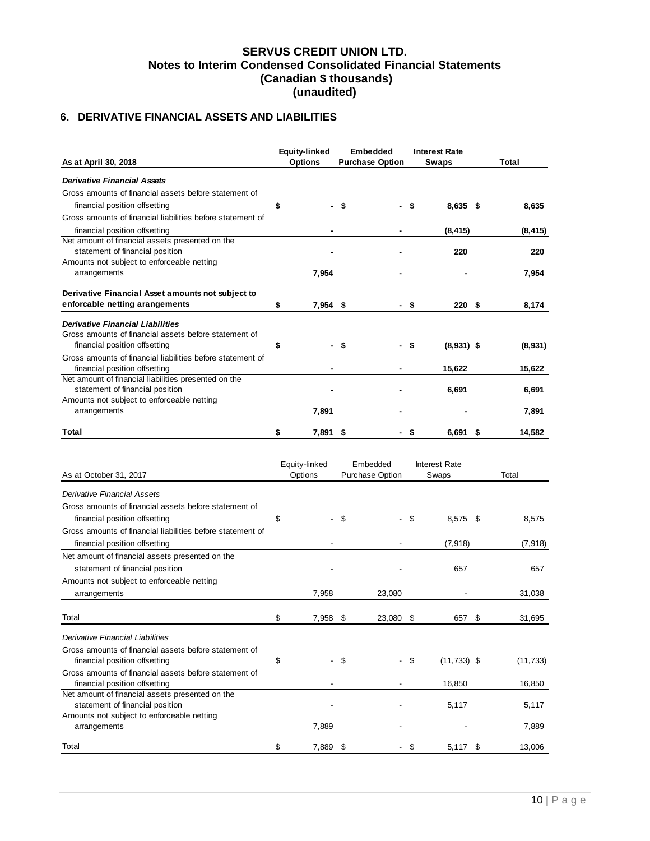# **6. DERIVATIVE FINANCIAL ASSETS AND LIABILITIES**

|                                                                                             |    | <b>Equity-linked</b> |    | <b>Embedded</b>        |     | <b>Interest Rate</b> |      |          |  |
|---------------------------------------------------------------------------------------------|----|----------------------|----|------------------------|-----|----------------------|------|----------|--|
| As at April 30, 2018                                                                        |    | <b>Options</b>       |    | <b>Purchase Option</b> |     | <b>Swaps</b>         |      | Total    |  |
| <b>Derivative Financial Assets</b>                                                          |    |                      |    |                        |     |                      |      |          |  |
| Gross amounts of financial assets before statement of                                       |    |                      |    |                        |     |                      |      |          |  |
| financial position offsetting                                                               | \$ |                      | \$ |                        | \$  | $8,635$ \$           |      | 8,635    |  |
| Gross amounts of financial liabilities before statement of                                  |    |                      |    |                        |     |                      |      |          |  |
| financial position offsetting                                                               |    |                      |    |                        |     | (8, 415)             |      | (8, 415) |  |
| Net amount of financial assets presented on the                                             |    |                      |    |                        |     |                      |      |          |  |
| statement of financial position                                                             |    |                      |    |                        |     | 220                  |      | 220      |  |
| Amounts not subject to enforceable netting                                                  |    |                      |    |                        |     |                      |      |          |  |
| arrangements                                                                                |    | 7,954                |    |                        |     |                      |      | 7,954    |  |
| Derivative Financial Asset amounts not subject to                                           |    |                      |    |                        |     |                      |      |          |  |
| enforcable netting arangements                                                              | \$ | $7,954$ \$           |    |                        | -\$ | 220S                 |      | 8,174    |  |
|                                                                                             |    |                      |    |                        |     |                      |      |          |  |
| <b>Derivative Financial Liabilities</b>                                                     |    |                      |    |                        |     |                      |      |          |  |
| Gross amounts of financial assets before statement of                                       |    |                      |    |                        |     |                      |      |          |  |
| financial position offsetting                                                               | \$ |                      | \$ |                        | \$  | $(8,931)$ \$         |      | (8,931)  |  |
| Gross amounts of financial liabilities before statement of<br>financial position offsetting |    |                      |    |                        |     | 15,622               |      | 15,622   |  |
| Net amount of financial liabilities presented on the                                        |    |                      |    |                        |     |                      |      |          |  |
| statement of financial position                                                             |    |                      |    |                        |     | 6,691                |      | 6,691    |  |
| Amounts not subject to enforceable netting                                                  |    |                      |    |                        |     |                      |      |          |  |
| arrangements                                                                                |    | 7,891                |    |                        |     |                      |      | 7,891    |  |
| Total                                                                                       | \$ | 7,891                | \$ |                        | \$  | 6.691                | - \$ | 14,582   |  |
|                                                                                             |    |                      |    |                        |     |                      |      |          |  |
|                                                                                             |    |                      |    |                        |     |                      |      |          |  |
|                                                                                             |    | Equity-linked        |    | Embedded               |     | <b>Interest Rate</b> |      |          |  |
| As at October 31, 2017                                                                      |    | Options              |    | <b>Purchase Option</b> |     | Swaps                |      | Total    |  |
| <b>Derivative Financial Assets</b>                                                          |    |                      |    |                        |     |                      |      |          |  |
| Gross amounts of financial assets before statement of                                       |    |                      |    |                        |     |                      |      |          |  |
| financial position offsetting                                                               | \$ |                      | S  |                        | \$  | 8,575 \$             |      | 8,575    |  |
| Gross amounts of financial liabilities before statement of                                  |    |                      |    |                        |     |                      |      |          |  |
| financial position offsetting                                                               |    |                      |    |                        |     | (7,918)              |      | (7, 918) |  |
|                                                                                             |    |                      |    |                        |     |                      |      |          |  |

| financial position offsetting                         |                                |      |           | (7, 918)             | (7, 918)  |
|-------------------------------------------------------|--------------------------------|------|-----------|----------------------|-----------|
| Net amount of financial assets presented on the       |                                |      |           |                      |           |
| statement of financial position                       |                                |      |           | 657                  | 657       |
| Amounts not subject to enforceable netting            |                                |      |           |                      |           |
| arrangements                                          | 7,958                          |      | 23,080    |                      | 31,038    |
| Total                                                 | \$<br>7,958 \$                 |      | 23,080 \$ | 657 \$               | 31,695    |
| Derivative Financial Liabilities                      |                                |      |           |                      |           |
| Gross amounts of financial assets before statement of |                                |      |           |                      |           |
| financial position offsetting                         | \$<br>$\overline{\phantom{a}}$ | - \$ | $\sim$    | \$<br>$(11, 733)$ \$ | (11, 733) |
| Gross amounts of financial assets before statement of |                                |      |           |                      |           |
| financial position offsetting                         |                                |      |           | 16,850               | 16,850    |
| Net amount of financial assets presented on the       |                                |      |           |                      |           |
| statement of financial position                       |                                |      |           | 5,117                | 5,117     |
| Amounts not subject to enforceable netting            |                                |      |           |                      |           |
| arrangements                                          | 7,889                          |      |           |                      | 7,889     |
| Total                                                 | \$<br>7,889                    | - 5  |           | \$<br>$5,117$ \$     | 13,006    |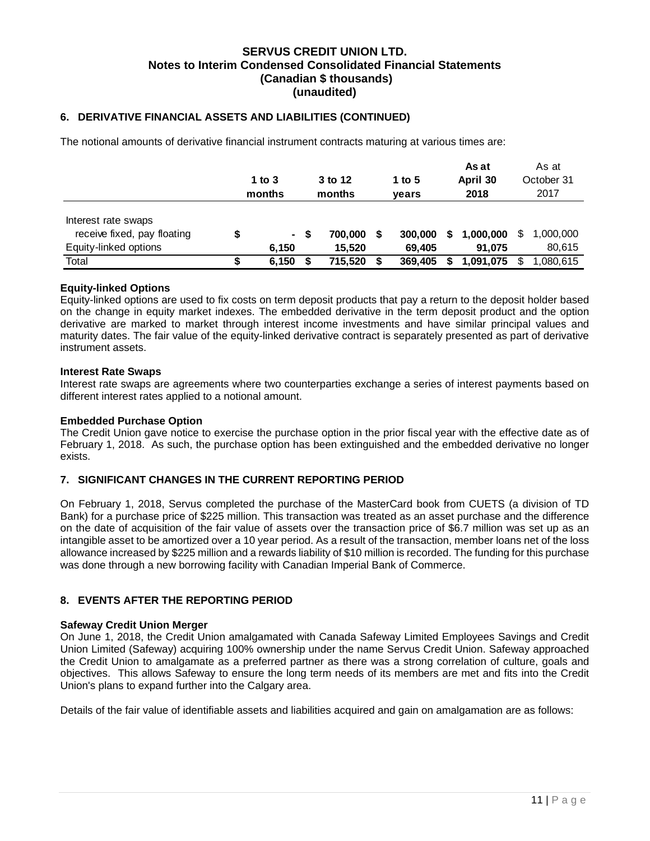### **6. DERIVATIVE FINANCIAL ASSETS AND LIABILITIES (CONTINUED)**

The notional amounts of derivative financial instrument contracts maturing at various times are:

|                                                                             | 1 to $3$<br>months | 3 to 12<br>months |   | 1 to 5<br>years   |   | As at<br>April 30<br>2018 |   | As at<br>October 31<br>2017 |
|-----------------------------------------------------------------------------|--------------------|-------------------|---|-------------------|---|---------------------------|---|-----------------------------|
| Interest rate swaps<br>receive fixed, pay floating<br>Equity-linked options | $\sim$<br>6.150    | 700.000<br>15.520 | S | 300,000<br>69.405 | S | 1,000,000<br>91.075       | S | 1.000.000<br>80,615         |
| Total                                                                       | 6,150              | 715.520           |   | 369,405           |   | 1,091,075                 |   | 1,080,615                   |

### **Equity-linked Options**

Equity-linked options are used to fix costs on term deposit products that pay a return to the deposit holder based on the change in equity market indexes. The embedded derivative in the term deposit product and the option derivative are marked to market through interest income investments and have similar principal values and maturity dates. The fair value of the equity-linked derivative contract is separately presented as part of derivative instrument assets.

#### **Interest Rate Swaps**

Interest rate swaps are agreements where two counterparties exchange a series of interest payments based on different interest rates applied to a notional amount.

### **Embedded Purchase Option**

The Credit Union gave notice to exercise the purchase option in the prior fiscal year with the effective date as of February 1, 2018. As such, the purchase option has been extinguished and the embedded derivative no longer exists.

#### **7. SIGNIFICANT CHANGES IN THE CURRENT REPORTING PERIOD**

On February 1, 2018, Servus completed the purchase of the MasterCard book from CUETS (a division of TD Bank) for a purchase price of \$225 million. This transaction was treated as an asset purchase and the difference on the date of acquisition of the fair value of assets over the transaction price of \$6.7 million was set up as an intangible asset to be amortized over a 10 year period. As a result of the transaction, member loans net of the loss allowance increased by \$225 million and a rewards liability of \$10 million is recorded. The funding for this purchase was done through a new borrowing facility with Canadian Imperial Bank of Commerce.

### **8. EVENTS AFTER THE REPORTING PERIOD**

#### **Safeway Credit Union Merger**

On June 1, 2018, the Credit Union amalgamated with Canada Safeway Limited Employees Savings and Credit Union Limited (Safeway) acquiring 100% ownership under the name Servus Credit Union. Safeway approached the Credit Union to amalgamate as a preferred partner as there was a strong correlation of culture, goals and objectives. This allows Safeway to ensure the long term needs of its members are met and fits into the Credit Union's plans to expand further into the Calgary area.

Details of the fair value of identifiable assets and liabilities acquired and gain on amalgamation are as follows: